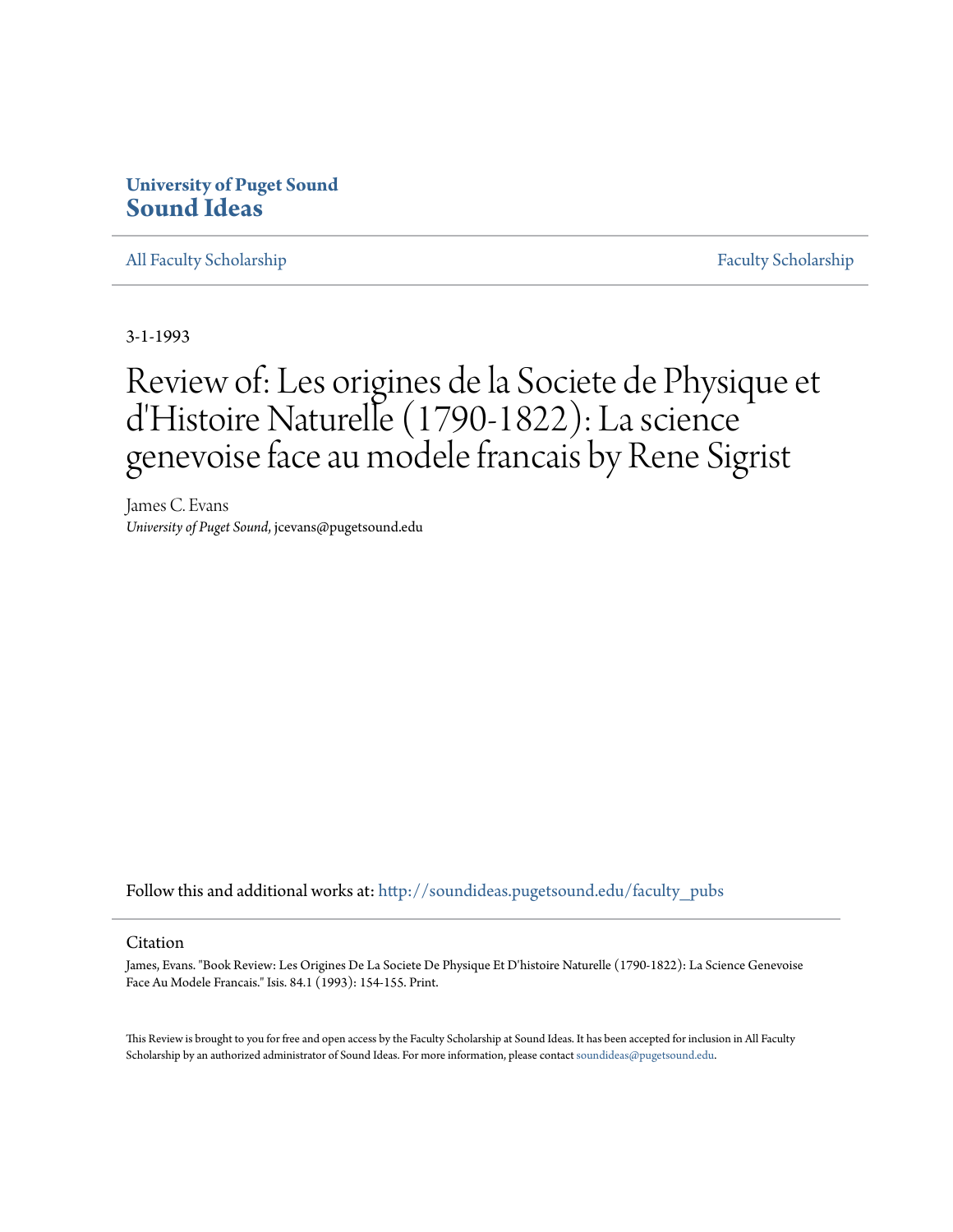## **University of Puget Sound [Sound Ideas](http://soundideas.pugetsound.edu?utm_source=soundideas.pugetsound.edu%2Ffaculty_pubs%2F2688&utm_medium=PDF&utm_campaign=PDFCoverPages)**

[All Faculty Scholarship](http://soundideas.pugetsound.edu/faculty_pubs?utm_source=soundideas.pugetsound.edu%2Ffaculty_pubs%2F2688&utm_medium=PDF&utm_campaign=PDFCoverPages) [Faculty Scholarship](http://soundideas.pugetsound.edu/faculty_research?utm_source=soundideas.pugetsound.edu%2Ffaculty_pubs%2F2688&utm_medium=PDF&utm_campaign=PDFCoverPages)

3-1-1993

## Review of: Les origines de la Societe de Physique et d'Histoire Naturelle (1790-1822): La science genevoise face au modele francais by Rene Sigrist

James C. Evans *University of Puget Sound*, jcevans@pugetsound.edu

Follow this and additional works at: [http://soundideas.pugetsound.edu/faculty\\_pubs](http://soundideas.pugetsound.edu/faculty_pubs?utm_source=soundideas.pugetsound.edu%2Ffaculty_pubs%2F2688&utm_medium=PDF&utm_campaign=PDFCoverPages)

## Citation

James, Evans. "Book Review: Les Origines De La Societe De Physique Et D'histoire Naturelle (1790-1822): La Science Genevoise Face Au Modele Francais." Isis. 84.1 (1993): 154-155. Print.

This Review is brought to you for free and open access by the Faculty Scholarship at Sound Ideas. It has been accepted for inclusion in All Faculty Scholarship by an authorized administrator of Sound Ideas. For more information, please contact [soundideas@pugetsound.edu](mailto:soundideas@pugetsound.edu).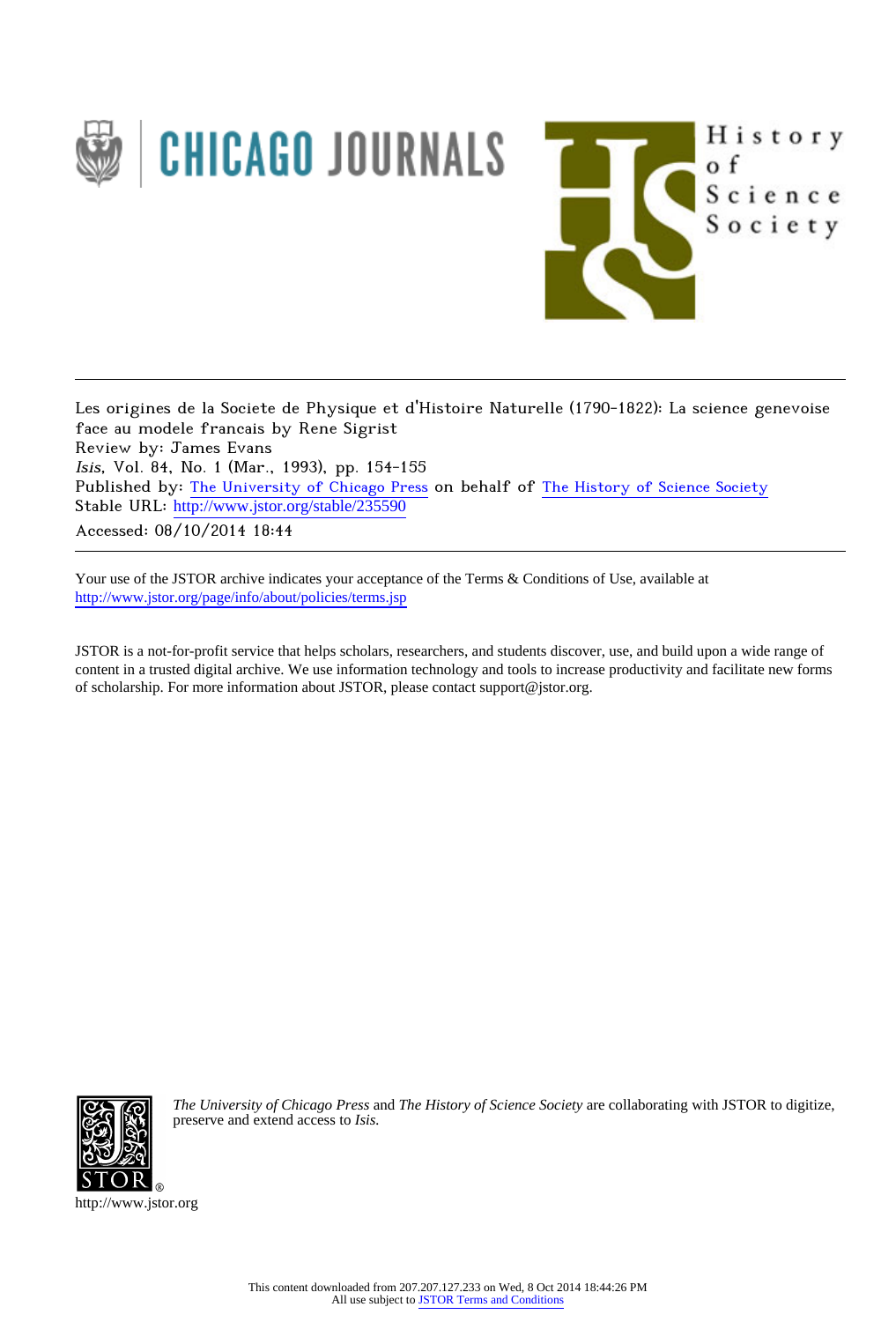

Les origines de la Societe de Physique et d'Histoire Naturelle (1790-1822): La science genevoise face au modele francais by Rene Sigrist Review by: James Evans Isis, Vol. 84, No. 1 (Mar., 1993), pp. 154-155 Published by: [The University of Chicago Press](http://www.jstor.org/action/showPublisher?publisherCode=ucpress) on behalf of [The History of Science Society](http://www.jstor.org/action/showPublisher?publisherCode=hss) Stable URL: http://www.jstor.org/stable/235590

Accessed: 08/10/2014 18:44

Your use of the JSTOR archive indicates your acceptance of the Terms & Conditions of Use, available at <http://www.jstor.org/page/info/about/policies/terms.jsp>

JSTOR is a not-for-profit service that helps scholars, researchers, and students discover, use, and build upon a wide range of content in a trusted digital archive. We use information technology and tools to increase productivity and facilitate new forms of scholarship. For more information about JSTOR, please contact support@jstor.org.



*The University of Chicago Press* and *The History of Science Society* are collaborating with JSTOR to digitize, preserve and extend access to *Isis.*

http://www.jstor.org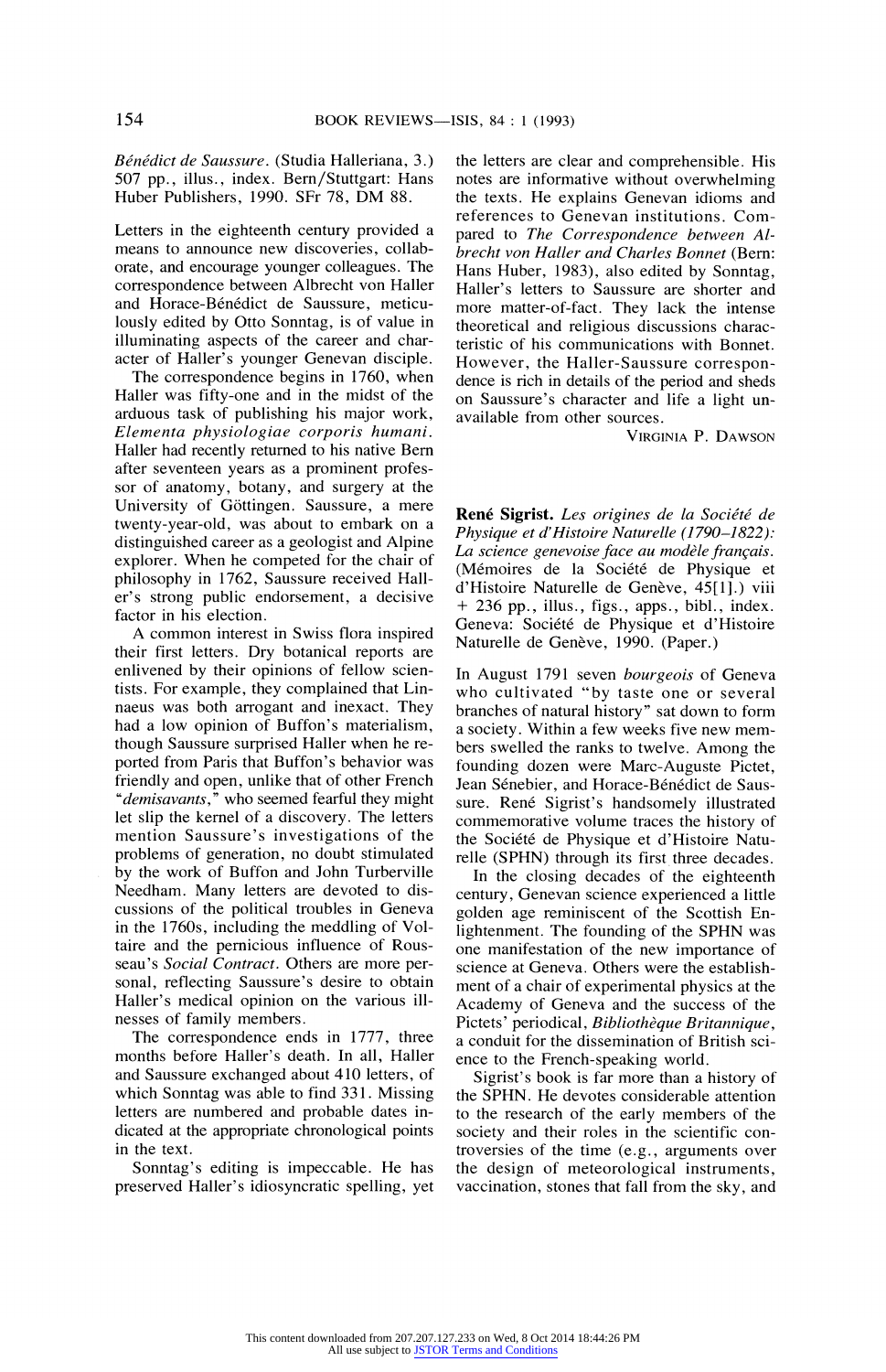**Benedict de Saussure. (Studia Halleriana, 3.) 507 pp., illus., index. Bern/Stuttgart: Hans Huber Publishers, 1990. SFr 78, DM 88.** 

**Letters in the eighteenth century provided a means to announce new discoveries, collaborate, and encourage younger colleagues. The correspondence between Albrecht von Haller**  and Horace-Bénédict de Saussure, meticu**lously edited by Otto Sonntag, is of value in illuminating aspects of the career and character of Haller's younger Genevan disciple.** 

**The correspondence begins in 1760, when Haller was fifty-one and in the midst of the arduous task of publishing his major work, Elementa physiologiae corporis humani. Haller had recently returned to his native Bern after seventeen years as a prominent professor of anatomy, botany, and surgery at the University of G6ttingen. Saussure, a mere twenty-year-old, was about to embark on a distinguished career as a geologist and Alpine explorer. When he competed for the chair of philosophy in 1762, Saussure received Haller's strong public endorsement, a decisive factor in his election.** 

**A common interest in Swiss flora inspired their first letters. Dry botanical reports are enlivened by their opinions of fellow scientists. For example, they complained that Linnaeus was both arrogant and inexact. They had a low opinion of Buffon's materialism, though Saussure surprised Haller when he reported from Paris that Buffon's behavior was friendly and open, unlike that of other French "demisavants," who seemed fearful they might let slip the kernel of a discovery. The letters mention Saussure's investigations of the problems of generation, no doubt stimulated by the work of Buffon and John Turberville Needham. Many letters are devoted to discussions of the political troubles in Geneva in the 1760s, including the meddling of Voltaire and the pernicious influence of Rousseau's Social Contract. Others are more personal, reflecting Saussure's desire to obtain Haller's medical opinion on the various illnesses of family members.** 

**The correspondence ends in 1777, three months before Haller's death. In all, Haller and Saussure exchanged about 410 letters, of which Sonntag was able to find 331. Missing letters are numbered and probable dates indicated at the appropriate chronological points in the text.** 

**Sonntag's editing is impeccable. He has preserved Haller's idiosyncratic spelling, yet**  **the letters are clear and comprehensible. His notes are informative without overwhelming the texts. He explains Genevan idioms and references to Genevan institutions. Compared to The Correspondence between Albrecht von Haller and Charles Bonnet (Bern: Hans Huber, 1983), also edited by Sonntag, Haller's letters to Saussure are shorter and more matter-of-fact. They lack the intense theoretical and religious discussions characteristic of his communications with Bonnet. However, the Haller-Saussure correspondence is rich in details of the period and sheds on Saussure's character and life a light unavailable from other sources.** 

**VIRGINIA P. DAWSON** 

**Rene Sigrist. Les origines de la Societe de Physique et d'Histoire Naturelle (1790-1822):**  La science genevoise face au modèle français. **(Mdmoires de la Societe de Physique et**  d'Histoire Naturelle de Genève, 45[1].) viii **+ 236 pp., illus., figs., apps., bibl., index.**  Geneva: Société de Physique et d'Histoire Naturelle de Genève, 1990. (Paper.)

**In August 1791 seven bourgeois of Geneva who cultivated "by taste one or several branches of natural history" sat down to form a society. Within a few weeks five new members swelled the ranks to twelve. Among the founding dozen were Marc-Auguste Pictet,**  Jean Sénebier, and Horace-Bénédict de Saussure. René Sigrist's handsomely illustrated **commemorative volume traces the history of the Societe de Physique et d'Histoire Naturelle (SPHN) through its first three decades.** 

**In the closing decades of the eighteenth century, Genevan science experienced a little golden age reminiscent of the Scottish Enlightenment. The founding of the SPHN was one manifestation of the new importance of science at Geneva. Others were the establishment of a chair of experimental physics at the Academy of Geneva and the success of the Pictets' periodical, Bibliotheque Britannique, a conduit for the dissemination of British science to the French-speaking world.** 

**Sigrist's book is far more than a history of the SPHN. He devotes considerable attention to the research of the early members of the society and their roles in the scientific controversies of the time (e.g., arguments over the design of meteorological instruments, vaccination, stones that fall from the sky, and** 

All use subject to [JSTOR Terms and Conditions](http://www.jstor.org/page/info/about/policies/terms.jsp)